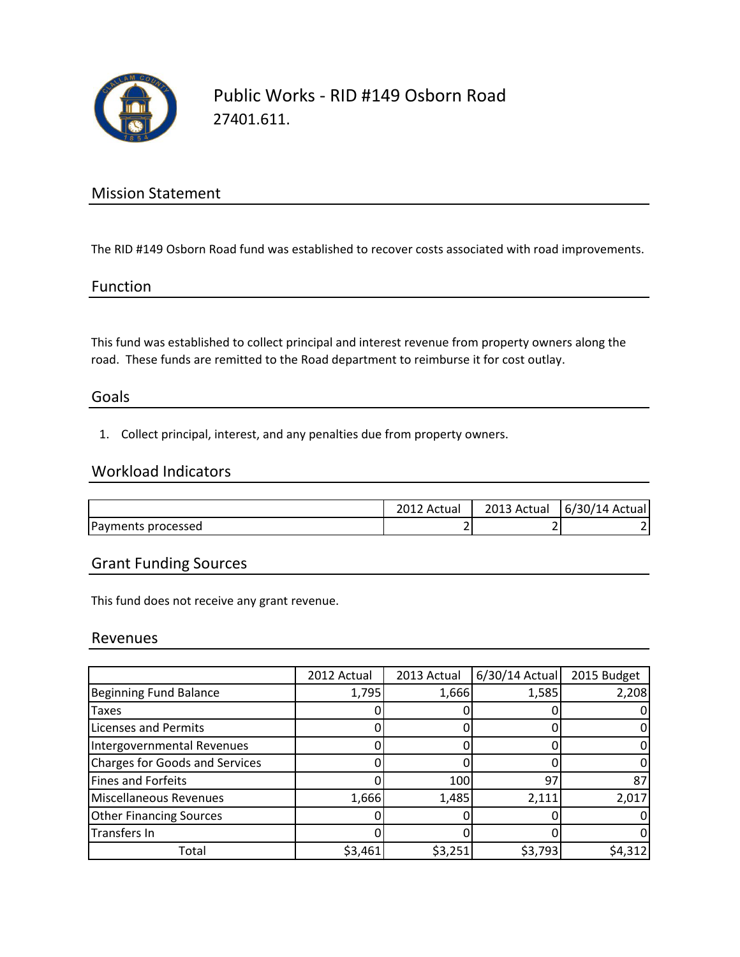

## Public Works - RID #149 Osborn Road 27401.611.

### Mission Statement

The RID #149 Osborn Road fund was established to recover costs associated with road improvements.

#### Function

This fund was established to collect principal and interest revenue from property owners along the road. These funds are remitted to the Road department to reimburse it for cost outlay.

#### Goals

1. Collect principal, interest, and any penalties due from property owners.

#### Workload Indicators

|                    | 12 Actual | 2013 Actual | 6/30/14 Actual |
|--------------------|-----------|-------------|----------------|
| Payments processed |           |             |                |

#### Grant Funding Sources

This fund does not receive any grant revenue.

#### Revenues

|                                       | 2012 Actual | 2013 Actual | 6/30/14 Actual | 2015 Budget |
|---------------------------------------|-------------|-------------|----------------|-------------|
| <b>Beginning Fund Balance</b>         | 1,795       | 1,666       | 1,585          | 2,208       |
| <b>Taxes</b>                          |             |             |                |             |
| <b>Licenses and Permits</b>           |             |             |                |             |
| Intergovernmental Revenues            |             |             |                |             |
| <b>Charges for Goods and Services</b> |             |             |                |             |
| <b>Fines and Forfeits</b>             |             | 100         | 97             | 87          |
| Miscellaneous Revenues                | 1,666       | 1,485       | 2,111          | 2,017       |
| <b>Other Financing Sources</b>        |             |             |                |             |
| Transfers In                          |             |             |                |             |
| Total                                 | \$3,461     | \$3,251     | \$3,793        | \$4,312     |